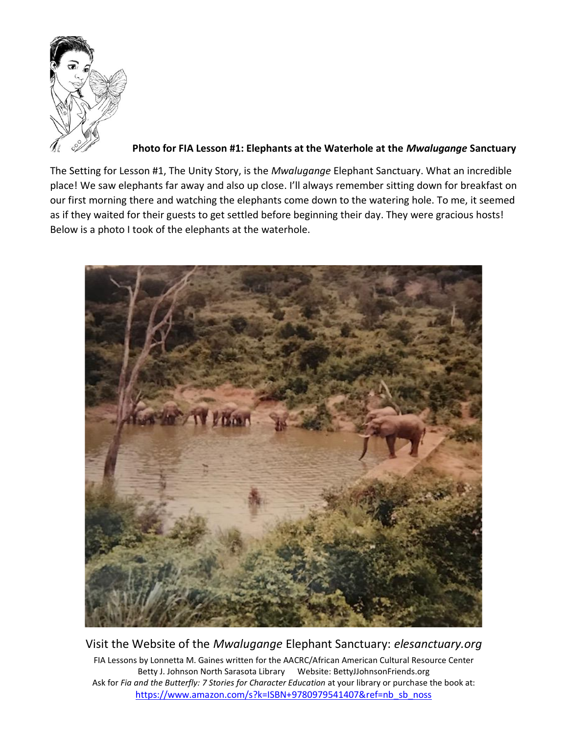

**Photo for FIA Lesson #1: Elephants at the Waterhole at the** *Mwalugange* **Sanctuary**

The Setting for Lesson #1, The Unity Story, is the *Mwalugange* Elephant Sanctuary. What an incredible place! We saw elephants far away and also up close. I'll always remember sitting down for breakfast on our first morning there and watching the elephants come down to the watering hole. To me, it seemed as if they waited for their guests to get settled before beginning their day. They were gracious hosts! Below is a photo I took of the elephants at the waterhole.



Visit the Website of the *Mwalugange* Elephant Sanctuary: *elesanctuary.org*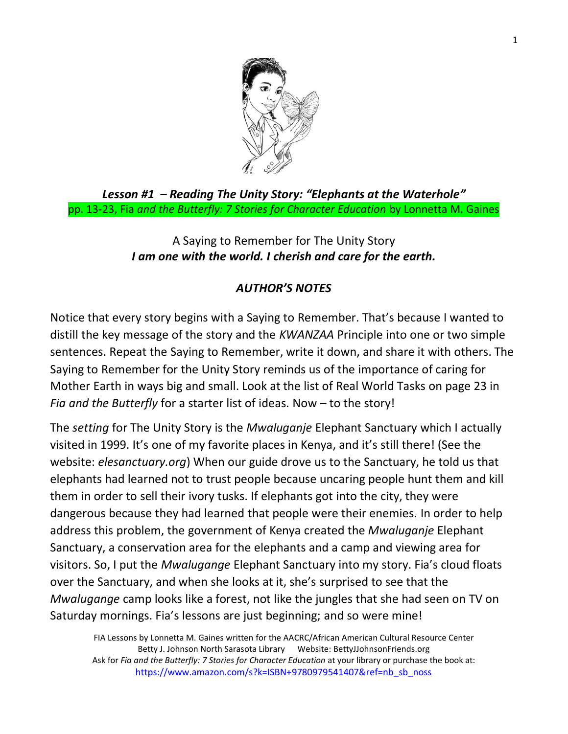

*Lesson #1 – Reading The Unity Story: "Elephants at the Waterhole"* pp. 13-23, Fia *and the Butterfly: 7 Stories for Character Education* by Lonnetta M. Gaines

## A Saying to Remember for The Unity Story *I am one with the world. I cherish and care for the earth.*

## *AUTHOR'S NOTES*

Notice that every story begins with a Saying to Remember. That's because I wanted to distill the key message of the story and the *KWANZAA* Principle into one or two simple sentences. Repeat the Saying to Remember, write it down, and share it with others. The Saying to Remember for the Unity Story reminds us of the importance of caring for Mother Earth in ways big and small. Look at the list of Real World Tasks on page 23 in *Fia and the Butterfly* for a starter list of ideas. Now – to the story!

The *setting* for The Unity Story is the *Mwaluganje* Elephant Sanctuary which I actually visited in 1999. It's one of my favorite places in Kenya, and it's still there! (See the website: *elesanctuary.org*) When our guide drove us to the Sanctuary, he told us that elephants had learned not to trust people because uncaring people hunt them and kill them in order to sell their ivory tusks. If elephants got into the city, they were dangerous because they had learned that people were their enemies. In order to help address this problem, the government of Kenya created the *Mwaluganje* Elephant Sanctuary, a conservation area for the elephants and a camp and viewing area for visitors. So, I put the *Mwalugange* Elephant Sanctuary into my story. Fia's cloud floats over the Sanctuary, and when she looks at it, she's surprised to see that the *Mwalugange* camp looks like a forest, not like the jungles that she had seen on TV on Saturday mornings. Fia's lessons are just beginning; and so were mine!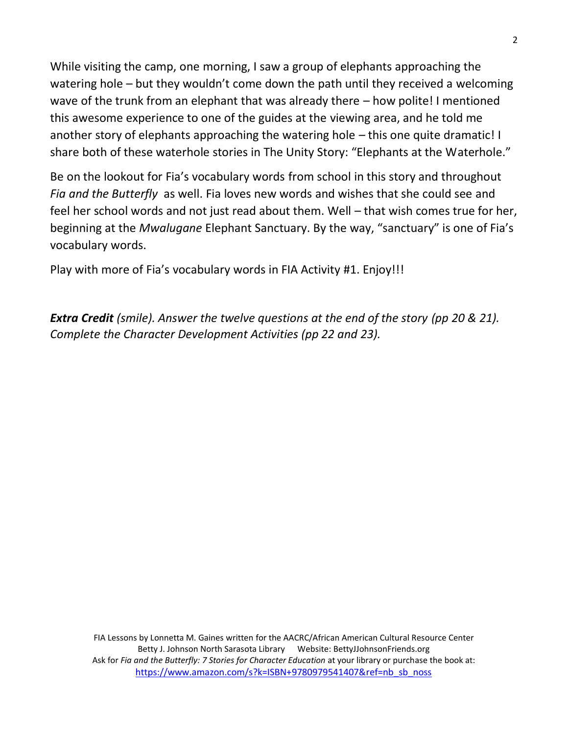While visiting the camp, one morning, I saw a group of elephants approaching the watering hole – but they wouldn't come down the path until they received a welcoming wave of the trunk from an elephant that was already there – how polite! I mentioned this awesome experience to one of the guides at the viewing area, and he told me another story of elephants approaching the watering hole – this one quite dramatic! I share both of these waterhole stories in The Unity Story: "Elephants at the Waterhole."

Be on the lookout for Fia's vocabulary words from school in this story and throughout *Fia and the Butterfly* as well. Fia loves new words and wishes that she could see and feel her school words and not just read about them. Well – that wish comes true for her, beginning at the *Mwalugane* Elephant Sanctuary. By the way, "sanctuary" is one of Fia's vocabulary words.

Play with more of Fia's vocabulary words in FIA Activity #1. Enjoy!!!

*Extra Credit (smile). Answer the twelve questions at the end of the story (pp 20 & 21). Complete the Character Development Activities (pp 22 and 23).*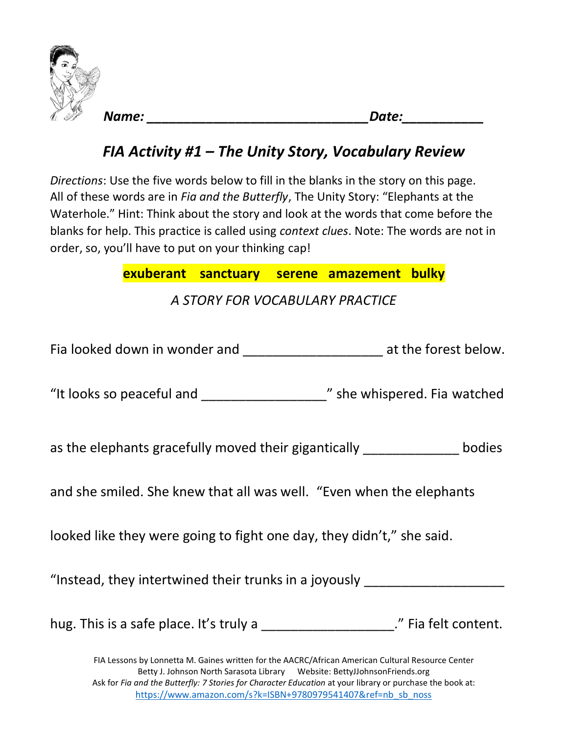

*Name: \_\_\_\_\_\_\_\_\_\_\_\_\_\_\_\_\_\_\_\_\_\_\_\_\_\_\_\_\_\_Date:\_\_\_\_\_\_\_\_\_\_\_*

## *FIA Activity #1 – The Unity Story, Vocabulary Review*

*Directions*: Use the five words below to fill in the blanks in the story on this page. All of these words are in *Fia and the Butterfly*, The Unity Story: "Elephants at the Waterhole." Hint: Think about the story and look at the words that come before the blanks for help. This practice is called using *context clues*. Note: The words are not in order, so, you'll have to put on your thinking cap!

|  |  |  | exuberant sanctuary serene amazement bulky |  |
|--|--|--|--------------------------------------------|--|
|--|--|--|--------------------------------------------|--|

*A STORY FOR VOCABULARY PRACTICE*

| Fia looked down in wonder and ____________________________ at the forest below.  |  |  |  |  |
|----------------------------------------------------------------------------------|--|--|--|--|
| "It looks so peaceful and ______________________" she whispered. Fia watched     |  |  |  |  |
| as the elephants gracefully moved their gigantically _______________ bodies      |  |  |  |  |
| and she smiled. She knew that all was well. "Even when the elephants             |  |  |  |  |
| looked like they were going to fight one day, they didn't," she said.            |  |  |  |  |
| "Instead, they intertwined their trunks in a joyously __________________________ |  |  |  |  |
| hug. This is a safe place. It's truly a ____________________." Fia felt content. |  |  |  |  |